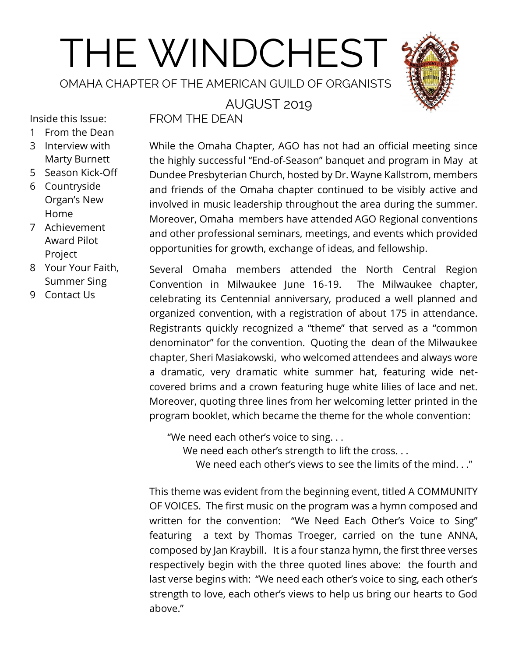# THE WINDCHEST

OMAHA CHAPTER OF THE AMERICAN GUILD OF ORGANISTS



## AUGUST 2019

Inside this Issue:

- 1 From the Dean 3 Interview with
- Marty Burnett
- 5 Season Kick-Off
- 6 Countryside Organ's New Home
- 7 Achievement Award Pilot Project
- 8 Your Your Faith, Summer Sing
- 9 Contact Us

FROM THE DEAN

While the Omaha Chapter, AGO has not had an official meeting since the highly successful "End-of-Season" banquet and program in May at Dundee Presbyterian Church, hosted by Dr. Wayne Kallstrom, members and friends of the Omaha chapter continued to be visibly active and involved in music leadership throughout the area during the summer. Moreover, Omaha members have attended AGO Regional conventions and other professional seminars, meetings, and events which provided opportunities for growth, exchange of ideas, and fellowship.

Several Omaha members attended the North Central Region Convention in Milwaukee June 16-19. The Milwaukee chapter, celebrating its Centennial anniversary, produced a well planned and organized convention, with a registration of about 175 in attendance. Registrants quickly recognized a "theme" that served as a "common denominator" for the convention. Quoting the dean of the Milwaukee chapter, Sheri Masiakowski, who welcomed attendees and always wore a dramatic, very dramatic white summer hat, featuring wide netcovered brims and a crown featuring huge white lilies of lace and net. Moreover, quoting three lines from her welcoming letter printed in the program booklet, which became the theme for the whole convention:

"We need each other's voice to sing. . .

We need each other's strength to lift the cross...

We need each other's views to see the limits of the mind. . ."

This theme was evident from the beginning event, titled A COMMUNITY OF VOICES. The first music on the program was a hymn composed and written for the convention: "We Need Each Other's Voice to Sing" featuring a text by Thomas Troeger, carried on the tune ANNA, composed by Jan Kraybill. It is a four stanza hymn, the first three verses respectively begin with the three quoted lines above: the fourth and last verse begins with: "We need each other's voice to sing, each other's strength to love, each other's views to help us bring our hearts to God above."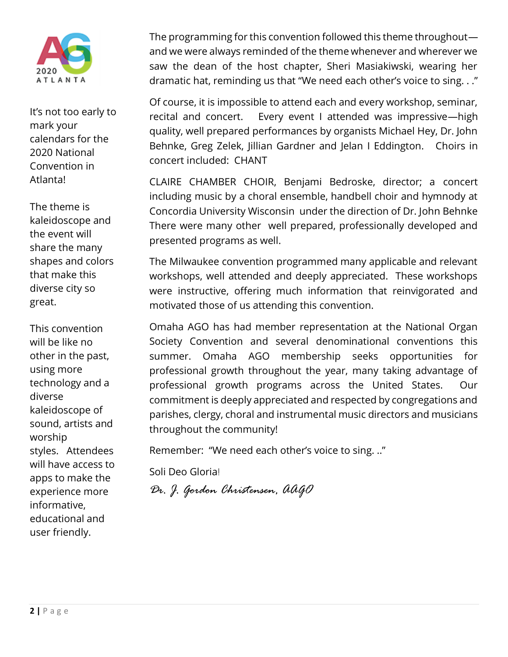

It's not too early to mark your calendars for the 2020 National Convention in Atlanta!

The theme is kaleidoscope and the event will share the many shapes and colors that make this diverse city so great.

This convention will be like no other in the past, using more technology and a diverse kaleidoscope of sound, artists and worship styles. Attendees will have access to apps to make the experience more informative, educational and user friendly.

The programming for this convention followed this theme throughout and we were always reminded of the theme whenever and wherever we saw the dean of the host chapter, Sheri Masiakiwski, wearing her dramatic hat, reminding us that "We need each other's voice to sing. . ."

Of course, it is impossible to attend each and every workshop, seminar, recital and concert. Every event I attended was impressive—high quality, well prepared performances by organists Michael Hey, Dr. John Behnke, Greg Zelek, Jillian Gardner and Jelan I Eddington. Choirs in concert included: CHANT

CLAIRE CHAMBER CHOIR, Benjami Bedroske, director; a concert including music by a choral ensemble, handbell choir and hymnody at Concordia University Wisconsin under the direction of Dr. John Behnke There were many other well prepared, professionally developed and presented programs as well.

The Milwaukee convention programmed many applicable and relevant workshops, well attended and deeply appreciated. These workshops were instructive, offering much information that reinvigorated and motivated those of us attending this convention.

Omaha AGO has had member representation at the National Organ Society Convention and several denominational conventions this summer. Omaha AGO membership seeks opportunities for professional growth throughout the year, many taking advantage of professional growth programs across the United States. Our commitment is deeply appreciated and respected by congregations and parishes, clergy, choral and instrumental music directors and musicians throughout the community!

Remember: "We need each other's voice to sing. .."

Soli Deo Gloria!

*Dr. J. Gordon Christensen, AAGO*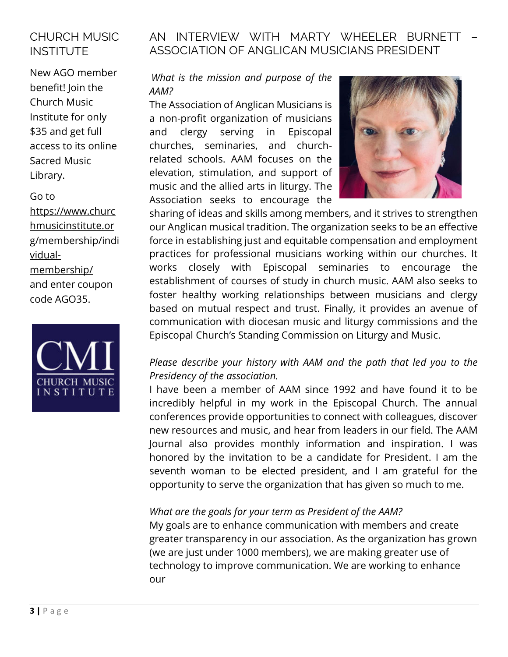# CHURCH MUSIC INSTITUTE

New AGO member benefit! Join the Church Music Institute for only \$35 and get full access to its online Sacred Music Library.

#### Go to

[https://www.churc](https://www.churchmusicinstitute.org/membership/individual-membership/) [hmusicinstitute.or](https://www.churchmusicinstitute.org/membership/individual-membership/) [g/membership/indi](https://www.churchmusicinstitute.org/membership/individual-membership/) [vidual](https://www.churchmusicinstitute.org/membership/individual-membership/)[membership/](https://www.churchmusicinstitute.org/membership/individual-membership/) and enter coupon code AGO35.



## AN INTERVIEW WITH MARTY WHEELER BURNETT ASSOCIATION OF ANGLICAN MUSICIANS PRESIDENT

#### *What is the mission and purpose of the AAM?*

The Association of Anglican Musicians is a non-profit organization of musicians and clergy serving in Episcopal churches, seminaries, and churchrelated schools. AAM focuses on the elevation, stimulation, and support of music and the allied arts in liturgy. The Association seeks to encourage the



sharing of ideas and skills among members, and it strives to strengthen our Anglican musical tradition. The organization seeks to be an effective force in establishing just and equitable compensation and employment practices for professional musicians working within our churches. It works closely with Episcopal seminaries to encourage the establishment of courses of study in church music. AAM also seeks to foster healthy working relationships between musicians and clergy based on mutual respect and trust. Finally, it provides an avenue of communication with diocesan music and liturgy commissions and the Episcopal Church's Standing Commission on Liturgy and Music.

## *Please describe your history with AAM and the path that led you to the Presidency of the association.*

I have been a member of AAM since 1992 and have found it to be incredibly helpful in my work in the Episcopal Church. The annual conferences provide opportunities to connect with colleagues, discover new resources and music, and hear from leaders in our field. The AAM Journal also provides monthly information and inspiration. I was honored by the invitation to be a candidate for President. I am the seventh woman to be elected president, and I am grateful for the opportunity to serve the organization that has given so much to me.

#### *What are the goals for your term as President of the AAM?*

My goals are to enhance communication with members and create greater transparency in our association. As the organization has grown (we are just under 1000 members), we are making greater use of technology to improve communication. We are working to enhance our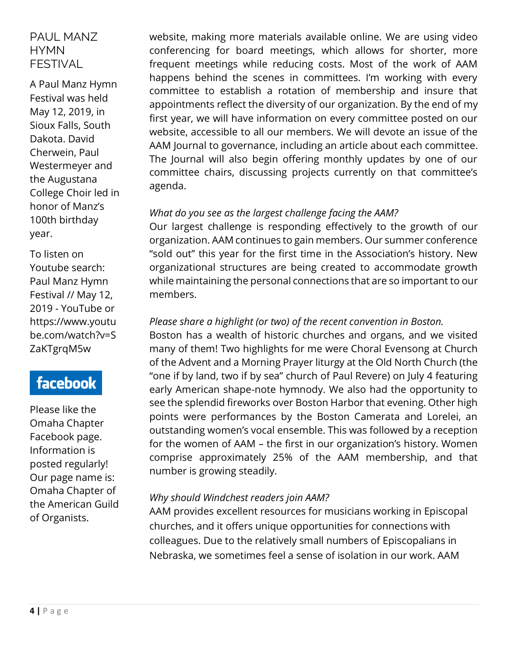## PAUL MANZ **HYMN** FESTIVAL

A Paul Manz Hymn Festival was held May 12, 2019, in Sioux Falls, South Dakota. David Cherwein, Paul Westermeyer and the Augustana College Choir led in honor of Manz's 100th birthday year.

To listen on Youtube search: [Paul Manz](https://www.youtube.com/watch?v=SZaKTgrqM5w) Hymn [Festival // May 12,](https://www.youtube.com/watch?v=SZaKTgrqM5w)  2019 - [YouTube](https://www.youtube.com/watch?v=SZaKTgrqM5w) o[r](https://www.youtube.com/watch?v=SZaKTgrqM5w) [https://www.youtu](https://www.youtube.com/watch?v=SZaKTgrqM5w) [be.com/watch?v=S](https://www.youtube.com/watch?v=SZaKTgrqM5w) [ZaKTgrqM5w](https://www.youtube.com/watch?v=SZaKTgrqM5w)

# facebook

Please like the Omaha Chapter Facebook page. Information is posted regularly! Our page name is: Omaha Chapter of the American Guild of Organists.

website, making more materials available online. We are using video conferencing for board meetings, which allows for shorter, more frequent meetings while reducing costs. Most of the work of AAM happens behind the scenes in committees. I'm working with every committee to establish a rotation of membership and insure that appointments reflect the diversity of our organization. By the end of my first year, we will have information on every committee posted on our website, accessible to all our members. We will devote an issue of the AAM Journal to governance, including an article about each committee. The Journal will also begin offering monthly updates by one of our committee chairs, discussing projects currently on that committee's agenda.

## *What do you see as the largest challenge facing the AAM?*

Our largest challenge is responding effectively to the growth of our organization. AAM continues to gain members. Our summer conference "sold out" this year for the first time in the Association's history. New organizational structures are being created to accommodate growth while maintaining the personal connections that are so important to our members.

## *Please share a highlight (or two) of the recent convention in Boston.*

Boston has a wealth of historic churches and organs, and we visited many of them! Two highlights for me were Choral Evensong at Church of the Advent and a Morning Prayer liturgy at the Old North Church (the "one if by land, two if by sea" church of Paul Revere) on July 4 featuring early American shape-note hymnody. We also had the opportunity to see the splendid fireworks over Boston Harbor that evening. Other high points were performances by the Boston Camerata and Lorelei, an outstanding women's vocal ensemble. This was followed by a reception for the women of AAM – the first in our organization's history. Women comprise approximately 25% of the AAM membership, and that number is growing steadily.

#### *Why should Windchest readers join AAM?*

AAM provides excellent resources for musicians working in Episcopal churches, and it offers unique opportunities for connections with colleagues. Due to the relatively small numbers of Episcopalians in Nebraska, we sometimes feel a sense of isolation in our work. AAM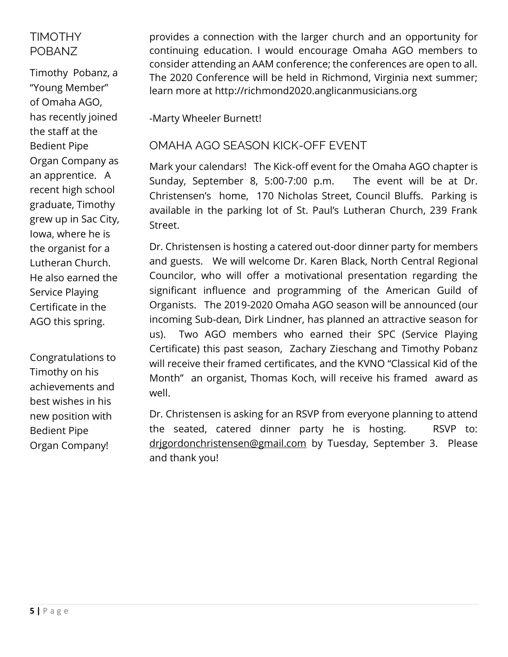# TIMOTHY POBANZ

Timothy Pobanz, a "Young Member" of Omaha AGO, has recently joined the staff at the Bedient Pipe Organ Company as an apprentice. A recent high school graduate, Timothy grew up in Sac City, Iowa, where he is the organist for a Lutheran Church. He also earned the Service Playing Certificate in the AGO this spring.

Congratulations to Timothy on his achievements and best wishes in his new position with Bedient Pipe Organ Company!

provides a connection with the larger church and an opportunity for continuing education. I would encourage Omaha AGO members to consider attending an AAM conference; the conferences are open to all. The 2020 Conference will be held in Richmond, Virginia next summer; learn more at http://richmond2020.anglicanmusicians.org

-Marty Wheeler Burnett!

## OMAHA AGO SEASON KICK-OFF EVENT

Mark your calendars! The Kick-off event for the Omaha AGO chapter is Sunday, September 8, 5:00-7:00 p.m. The event will be at Dr. Christensen's home, 170 Nicholas Street, Council Bluffs. Parking is available in the parking lot of St. Paul's Lutheran Church, 239 Frank Street.

Dr. Christensen is hosting a catered out-door dinner party for members and guests. We will welcome Dr. Karen Black, North Central Regional Councilor, who will offer a motivational presentation regarding the significant influence and programming of the American Guild of Organists. The 2019-2020 Omaha AGO season will be announced (our incoming Sub-dean, Dirk Lindner, has planned an attractive season for us). Two AGO members who earned their SPC (Service Playing Certificate) this past season, Zachary Zieschang and Timothy Pobanz will receive their framed certificates, and the KVNO "Classical Kid of the Month" an organist, Thomas Koch, will receive his framed award as well.

Dr. Christensen is asking for an RSVP from everyone planning to attend the seated, catered dinner party he is hosting. RSVP to: drigordonchristensen@gmail.com by Tuesday, September 3. Please and thank you!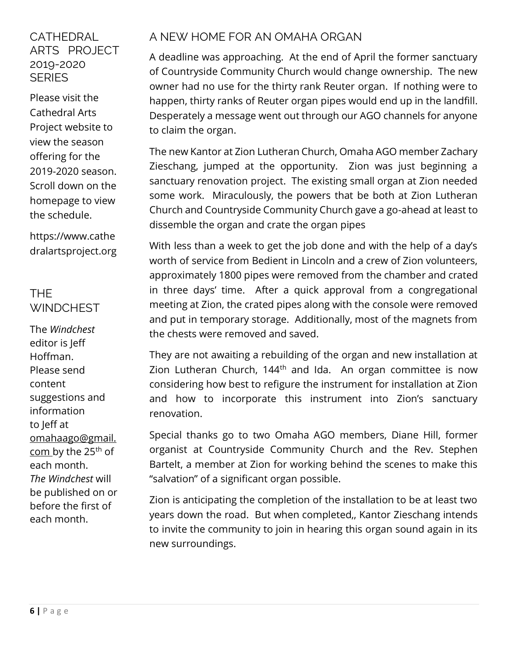## **CATHEDRAL** ARTS PROJECT 2019-2020 **SERIES**

Please visit the Cathedral Arts Project website to view the season offering for the 2019-2020 season. Scroll down on the homepage to view the schedule.

[https://www.cathe](https://www.cathedralartsproject.org/) [dralartsproject.org](https://www.cathedralartsproject.org/)

# THE **WINDCHEST**

The *Windchest* editor is Jeff Hoffman. Please send content suggestions and information to Jeff at [omahaago@gmail.](mailto:omahaago@gmail.com) [com](mailto:omahaago@gmail.com) by the 25th of each month. *The Windchest* will be published on or before the first of each month.

# A NEW HOME FOR AN OMAHA ORGAN

A deadline was approaching. At the end of April the former sanctuary of Countryside Community Church would change ownership. The new owner had no use for the thirty rank Reuter organ. If nothing were to happen, thirty ranks of Reuter organ pipes would end up in the landfill. Desperately a message went out through our AGO channels for anyone to claim the organ.

The new Kantor at Zion Lutheran Church, Omaha AGO member Zachary Zieschang, jumped at the opportunity. Zion was just beginning a sanctuary renovation project. The existing small organ at Zion needed some work. Miraculously, the powers that be both at Zion Lutheran Church and Countryside Community Church gave a go-ahead at least to dissemble the organ and crate the organ pipes

With less than a week to get the job done and with the help of a day's worth of service from Bedient in Lincoln and a crew of Zion volunteers, approximately 1800 pipes were removed from the chamber and crated in three days' time. After a quick approval from a congregational meeting at Zion, the crated pipes along with the console were removed and put in temporary storage. Additionally, most of the magnets from the chests were removed and saved.

They are not awaiting a rebuilding of the organ and new installation at Zion Lutheran Church, 144<sup>th</sup> and Ida. An organ committee is now considering how best to refigure the instrument for installation at Zion and how to incorporate this instrument into Zion's sanctuary renovation.

Special thanks go to two Omaha AGO members, Diane Hill, former organist at Countryside Community Church and the Rev. Stephen Bartelt, a member at Zion for working behind the scenes to make this "salvation" of a significant organ possible.

Zion is anticipating the completion of the installation to be at least two years down the road. But when completed,, Kantor Zieschang intends to invite the community to join in hearing this organ sound again in its new surroundings.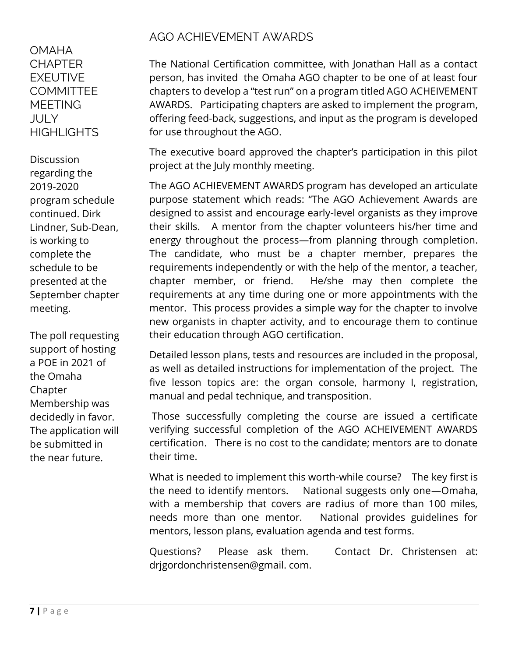OMAHA **CHAPTER** EXEUTIVE **COMMITTEE MEETING** JULY **HIGHLIGHTS** 

**Discussion** regarding the 2019-2020 program schedule continued. Dirk Lindner, Sub-Dean, is working to complete the schedule to be presented at the September chapter meeting.

The poll requesting support of hosting a POE in 2021 of the Omaha Chapter Membership was decidedly in favor. The application will be submitted in the near future.

# AGO ACHIEVEMENT AWARDS

The National Certification committee, with Jonathan Hall as a contact person, has invited the Omaha AGO chapter to be one of at least four chapters to develop a "test run" on a program titled AGO ACHEIVEMENT AWARDS. Participating chapters are asked to implement the program, offering feed-back, suggestions, and input as the program is developed for use throughout the AGO.

The executive board approved the chapter's participation in this pilot project at the July monthly meeting.

The AGO ACHIEVEMENT AWARDS program has developed an articulate purpose statement which reads: "The AGO Achievement Awards are designed to assist and encourage early-level organists as they improve their skills. A mentor from the chapter volunteers his/her time and energy throughout the process—from planning through completion. The candidate, who must be a chapter member, prepares the requirements independently or with the help of the mentor, a teacher, chapter member, or friend. He/she may then complete the requirements at any time during one or more appointments with the mentor. This process provides a simple way for the chapter to involve new organists in chapter activity, and to encourage them to continue their education through AGO certification.

Detailed lesson plans, tests and resources are included in the proposal, as well as detailed instructions for implementation of the project. The five lesson topics are: the organ console, harmony I, registration, manual and pedal technique, and transposition.

Those successfully completing the course are issued a certificate verifying successful completion of the AGO ACHEIVEMENT AWARDS certification. There is no cost to the candidate; mentors are to donate their time.

What is needed to implement this worth-while course? The key first is the need to identify mentors. National suggests only one—Omaha, with a membership that covers are radius of more than 100 miles, needs more than one mentor. National provides guidelines for mentors, lesson plans, evaluation agenda and test forms.

Questions? Please ask them. Contact Dr. Christensen at: drjgordonchristensen@gmail. com.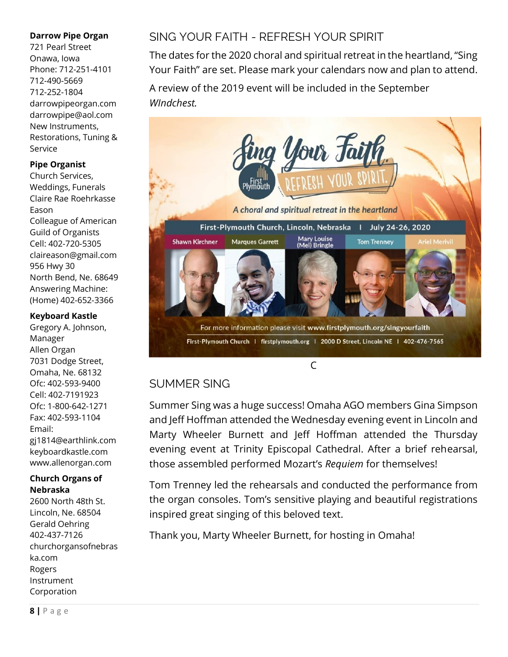#### **Darrow Pipe Organ**

721 Pearl Street Onawa, Iowa Phone: 712-251-4101 712-490-5669 712-252-1804 darrowpipeorgan.com darrowpipe@aol.com New Instruments, Restorations, Tuning & Service

#### **Pipe Organist**

Church Services, Weddings, Funerals Claire Rae Roehrkasse Eason Colleague of American Guild of Organists Cell: 402-720-5305 claireason@gmail.com 956 Hwy 30 North Bend, Ne. 68649 Answering Machine: (Home) 402-652-3366

#### **Keyboard Kastle**

Gregory A. Johnson, Manager Allen Organ 7031 Dodge Street, Omaha, Ne. 68132 Ofc: 402-593-9400 Cell: 402-7191923 Ofc: 1-800-642-1271 Fax: 402-593-1104 Email: gj1814@earthlink.com keyboardkastle.com www.allenorgan.com

#### **Church Organs of Nebraska**

2600 North 48th St. Lincoln, Ne. 68504 Gerald Oehring 402-437-7126 churchorgansofnebras ka.com Rogers Instrument Corporation

# SING YOUR FAITH - REFRESH YOUR SPIRIT

The dates for the 2020 choral and spiritual retreat in the heartland, "Sing Your Faith" are set. Please mark your calendars now and plan to attend.

A review of the 2019 event will be included in the September *WIndchest.* 



## SUMMER SING

Summer Sing was a huge success! Omaha AGO members Gina Simpson and Jeff Hoffman attended the Wednesday evening event in Lincoln and Marty Wheeler Burnett and Jeff Hoffman attended the Thursday evening event at Trinity Episcopal Cathedral. After a brief rehearsal, those assembled performed Mozart's *Requiem* for themselves!

Tom Trenney led the rehearsals and conducted the performance from the organ consoles. Tom's sensitive playing and beautiful registrations inspired great singing of this beloved text.

Thank you, Marty Wheeler Burnett, for hosting in Omaha!